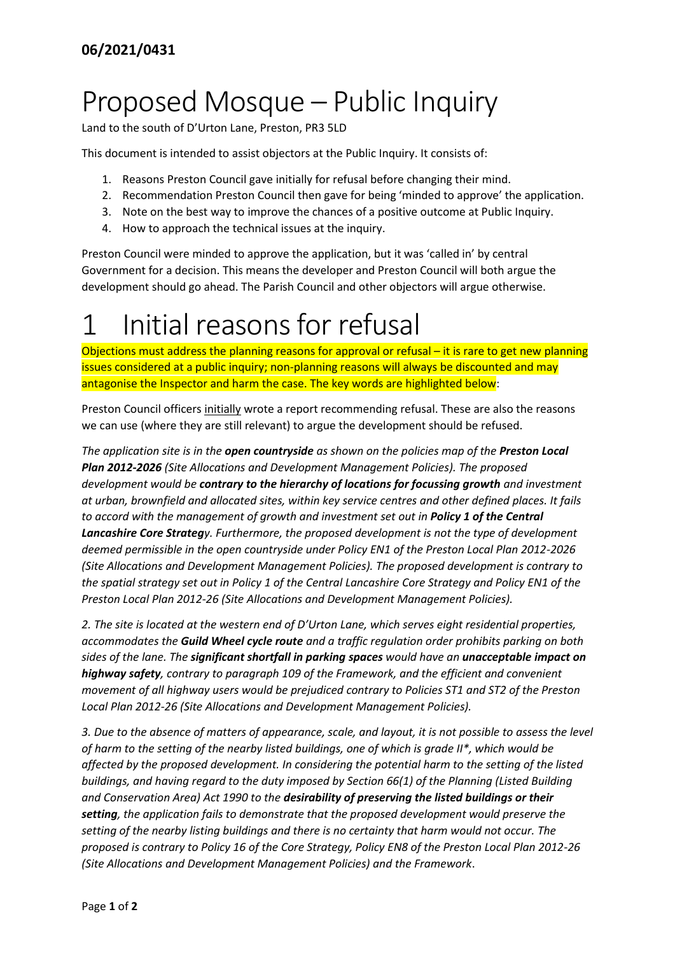# Proposed Mosque – Public Inquiry

Land to the south of D'Urton Lane, Preston, PR3 5LD

This document is intended to assist objectors at the Public Inquiry. It consists of:

- 1. Reasons Preston Council gave initially for refusal before changing their mind.
- 2. Recommendation Preston Council then gave for being 'minded to approve' the application.
- 3. Note on the best way to improve the chances of a positive outcome at Public Inquiry.
- 4. How to approach the technical issues at the inquiry.

Preston Council were minded to approve the application, but it was 'called in' by central Government for a decision. This means the developer and Preston Council will both argue the development should go ahead. The Parish Council and other objectors will argue otherwise.

# 1 Initial reasons for refusal

Objections must address the planning reasons for approval or refusal – it is rare to get new planning issues considered at a public inquiry; non-planning reasons will always be discounted and may antagonise the Inspector and harm the case. The key words are highlighted below:

Preston Council officers initially wrote a report recommending refusal. These are also the reasons we can use (where they are still relevant) to argue the development should be refused.

*The application site is in the open countryside as shown on the policies map of the Preston Local Plan 2012-2026 (Site Allocations and Development Management Policies). The proposed development would be contrary to the hierarchy of locations for focussing growth and investment at urban, brownfield and allocated sites, within key service centres and other defined places. It fails to accord with the management of growth and investment set out in Policy 1 of the Central Lancashire Core Strategy. Furthermore, the proposed development is not the type of development deemed permissible in the open countryside under Policy EN1 of the Preston Local Plan 2012-2026 (Site Allocations and Development Management Policies). The proposed development is contrary to the spatial strategy set out in Policy 1 of the Central Lancashire Core Strategy and Policy EN1 of the Preston Local Plan 2012-26 (Site Allocations and Development Management Policies).*

*2. The site is located at the western end of D'Urton Lane, which serves eight residential properties, accommodates the Guild Wheel cycle route and a traffic regulation order prohibits parking on both sides of the lane. The significant shortfall in parking spaces would have an unacceptable impact on highway safety, contrary to paragraph 109 of the Framework, and the efficient and convenient movement of all highway users would be prejudiced contrary to Policies ST1 and ST2 of the Preston Local Plan 2012-26 (Site Allocations and Development Management Policies).*

*3. Due to the absence of matters of appearance, scale, and layout, it is not possible to assess the level of harm to the setting of the nearby listed buildings, one of which is grade II\*, which would be affected by the proposed development. In considering the potential harm to the setting of the listed buildings, and having regard to the duty imposed by Section 66(1) of the Planning (Listed Building and Conservation Area) Act 1990 to the desirability of preserving the listed buildings or their setting, the application fails to demonstrate that the proposed development would preserve the setting of the nearby listing buildings and there is no certainty that harm would not occur. The proposed is contrary to Policy 16 of the Core Strategy, Policy EN8 of the Preston Local Plan 2012-26 (Site Allocations and Development Management Policies) and the Framework*.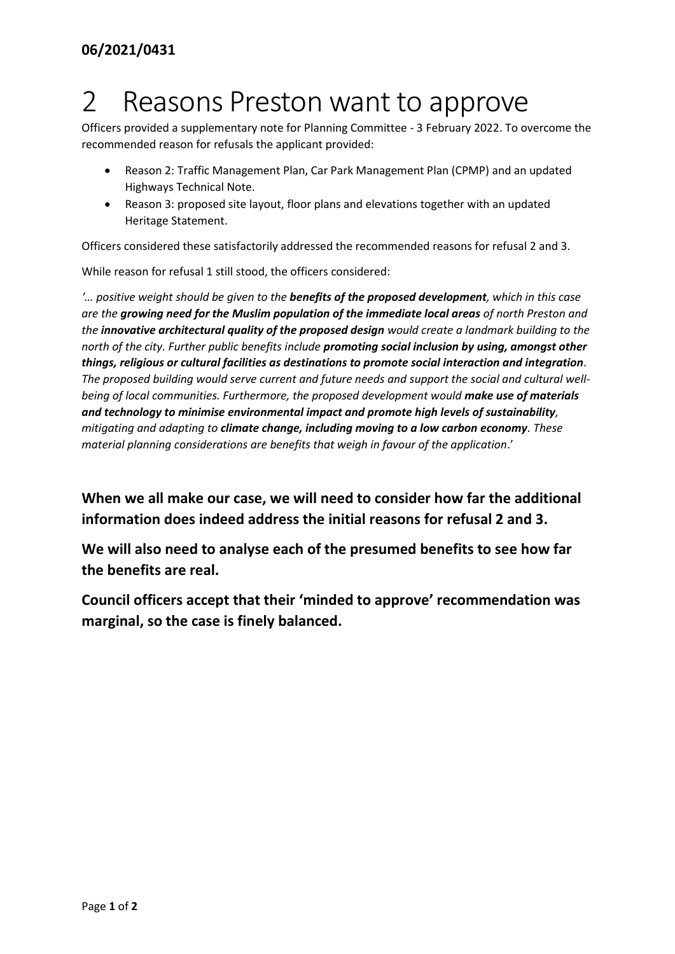### 2 Reasons Preston want to approve

Officers provided a supplementary note for Planning Committee - 3 February 2022. To overcome the recommended reason for refusals the applicant provided:

- Reason 2: Traffic Management Plan, Car Park Management Plan (CPMP) and an updated Highways Technical Note.
- Reason 3: proposed site layout, floor plans and elevations together with an updated Heritage Statement.

Officers considered these satisfactorily addressed the recommended reasons for refusal 2 and 3.

While reason for refusal 1 still stood, the officers considered:

*'… positive weight should be given to the benefits of the proposed development, which in this case are the growing need for the Muslim population of the immediate local areas of north Preston and the innovative architectural quality of the proposed design would create a landmark building to the north of the city. Further public benefits include promoting social inclusion by using, amongst other things, religious or cultural facilities as destinations to promote social interaction and integration. The proposed building would serve current and future needs and support the social and cultural well*being of local communities. Furthermore, the proposed development would **make use of materials** *and technology to minimise environmental impact and promote high levels of sustainability, mitigating and adapting to climate change, including moving to a low carbon economy. These material planning considerations are benefits that weigh in favour of the application*.'

**When we all make our case, we will need to consider how far the additional information does indeed address the initial reasons for refusal 2 and 3.**

**We will also need to analyse each of the presumed benefits to see how far the benefits are real.** 

**Council officers accept that their 'minded to approve' recommendation was marginal, so the case is finely balanced.**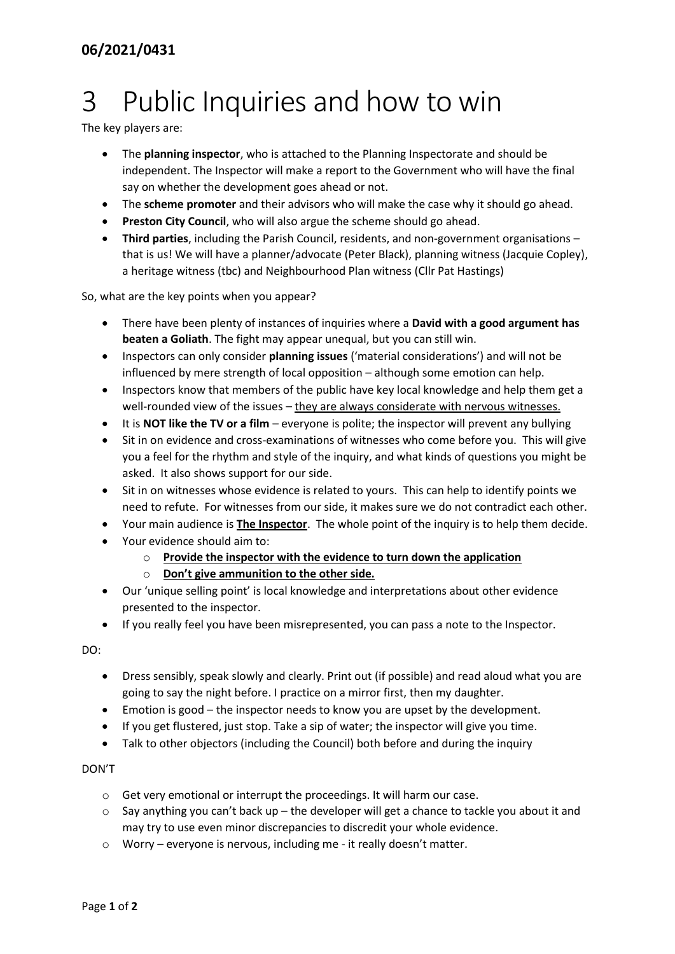# 3 Public Inquiries and how to win

The key players are:

- The **planning inspector**, who is attached to the Planning Inspectorate and should be independent. The Inspector will make a report to the Government who will have the final say on whether the development goes ahead or not.
- The **scheme promoter** and their advisors who will make the case why it should go ahead.
- **Preston City Council**, who will also argue the scheme should go ahead.
- **Third parties**, including the Parish Council, residents, and non-government organisations that is us! We will have a planner/advocate (Peter Black), planning witness (Jacquie Copley), a heritage witness (tbc) and Neighbourhood Plan witness (Cllr Pat Hastings)

So, what are the key points when you appear?

- There have been plenty of instances of inquiries where a **David with a good argument has beaten a Goliath**. The fight may appear unequal, but you can still win.
- Inspectors can only consider **planning issues** ('material considerations') and will not be influenced by mere strength of local opposition – although some emotion can help.
- Inspectors know that members of the public have key local knowledge and help them get a well-rounded view of the issues – they are always considerate with nervous witnesses.
- It is **NOT like the TV or a film** everyone is polite; the inspector will prevent any bullying
- Sit in on evidence and cross-examinations of witnesses who come before you. This will give you a feel for the rhythm and style of the inquiry, and what kinds of questions you might be asked. It also shows support for our side.
- Sit in on witnesses whose evidence is related to yours. This can help to identify points we need to refute. For witnesses from our side, it makes sure we do not contradict each other.
- Your main audience is **The Inspector**. The whole point of the inquiry is to help them decide.
- Your evidence should aim to:
	- o **Provide the inspector with the evidence to turn down the application**
	- o **Don't give ammunition to the other side.**
- Our 'unique selling point' is local knowledge and interpretations about other evidence presented to the inspector.
- If you really feel you have been misrepresented, you can pass a note to the Inspector.

DO:

- Dress sensibly, speak slowly and clearly. Print out (if possible) and read aloud what you are going to say the night before. I practice on a mirror first, then my daughter.
- Emotion is good the inspector needs to know you are upset by the development.
- If you get flustered, just stop. Take a sip of water; the inspector will give you time.
- Talk to other objectors (including the Council) both before and during the inquiry

### DON'T

- o Get very emotional or interrupt the proceedings. It will harm our case.
- $\circ$  Say anything you can't back up the developer will get a chance to tackle you about it and may try to use even minor discrepancies to discredit your whole evidence.
- o Worry everyone is nervous, including me it really doesn't matter.